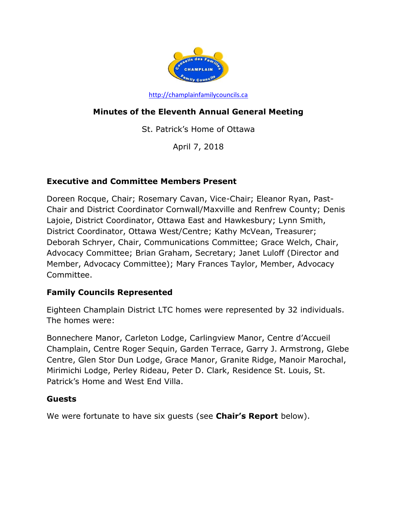

[http://champlainfamilycouncils.ca](http://champlainfamilycouncils.ca/)

# **Minutes of the Eleventh Annual General Meeting**

St. Patrick's Home of Ottawa

April 7, 2018

### **Executive and Committee Members Present**

Doreen Rocque, Chair; Rosemary Cavan, Vice-Chair; Eleanor Ryan, Past-Chair and District Coordinator Cornwall/Maxville and Renfrew County; Denis Lajoie, District Coordinator, Ottawa East and Hawkesbury; Lynn Smith, District Coordinator, Ottawa West/Centre; Kathy McVean, Treasurer; Deborah Schryer, Chair, Communications Committee; Grace Welch, Chair, Advocacy Committee; Brian Graham, Secretary; Janet Luloff (Director and Member, Advocacy Committee); Mary Frances Taylor, Member, Advocacy Committee.

### **Family Councils Represented**

Eighteen Champlain District LTC homes were represented by 32 individuals. The homes were:

Bonnechere Manor, Carleton Lodge, Carlingview Manor, Centre d'Accueil Champlain, Centre Roger Sequin, Garden Terrace, Garry J. Armstrong, Glebe Centre, Glen Stor Dun Lodge, Grace Manor, Granite Ridge, Manoir Marochal, Mirimichi Lodge, Perley Rideau, Peter D. Clark, Residence St. Louis, St. Patrick's Home and West End Villa.

#### **Guests**

We were fortunate to have six guests (see **Chair's Report** below).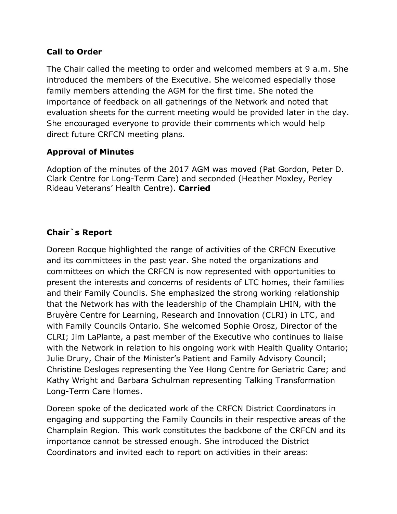### **Call to Order**

The Chair called the meeting to order and welcomed members at 9 a.m. She introduced the members of the Executive. She welcomed especially those family members attending the AGM for the first time. She noted the importance of feedback on all gatherings of the Network and noted that evaluation sheets for the current meeting would be provided later in the day. She encouraged everyone to provide their comments which would help direct future CRFCN meeting plans.

### **Approval of Minutes**

Adoption of the minutes of the 2017 AGM was moved (Pat Gordon, Peter D. Clark Centre for Long-Term Care) and seconded (Heather Moxley, Perley Rideau Veterans' Health Centre). **Carried**

### **Chair`s Report**

Doreen Rocque highlighted the range of activities of the CRFCN Executive and its committees in the past year. She noted the organizations and committees on which the CRFCN is now represented with opportunities to present the interests and concerns of residents of LTC homes, their families and their Family Councils. She emphasized the strong working relationship that the Network has with the leadership of the Champlain LHIN, with the Bruyère Centre for Learning, Research and Innovation (CLRI) in LTC, and with Family Councils Ontario. She welcomed Sophie Orosz, Director of the CLRI; Jim LaPlante, a past member of the Executive who continues to liaise with the Network in relation to his ongoing work with Health Quality Ontario; Julie Drury, Chair of the Minister's Patient and Family Advisory Council; Christine Desloges representing the Yee Hong Centre for Geriatric Care; and Kathy Wright and Barbara Schulman representing Talking Transformation Long-Term Care Homes.

Doreen spoke of the dedicated work of the CRFCN District Coordinators in engaging and supporting the Family Councils in their respective areas of the Champlain Region. This work constitutes the backbone of the CRFCN and its importance cannot be stressed enough. She introduced the District Coordinators and invited each to report on activities in their areas: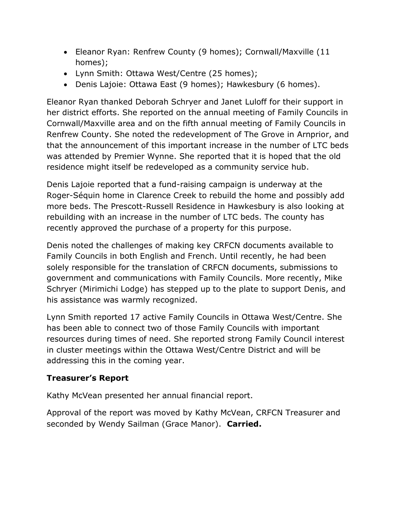- Eleanor Ryan: Renfrew County (9 homes); Cornwall/Maxville (11 homes);
- Lynn Smith: Ottawa West/Centre (25 homes);
- Denis Lajoie: Ottawa East (9 homes); Hawkesbury (6 homes).

Eleanor Ryan thanked Deborah Schryer and Janet Luloff for their support in her district efforts. She reported on the annual meeting of Family Councils in Cornwall/Maxville area and on the fifth annual meeting of Family Councils in Renfrew County. She noted the redevelopment of The Grove in Arnprior, and that the announcement of this important increase in the number of LTC beds was attended by Premier Wynne. She reported that it is hoped that the old residence might itself be redeveloped as a community service hub.

Denis Lajoie reported that a fund-raising campaign is underway at the Roger-Séquin home in Clarence Creek to rebuild the home and possibly add more beds. The Prescott-Russell Residence in Hawkesbury is also looking at rebuilding with an increase in the number of LTC beds. The county has recently approved the purchase of a property for this purpose.

Denis noted the challenges of making key CRFCN documents available to Family Councils in both English and French. Until recently, he had been solely responsible for the translation of CRFCN documents, submissions to government and communications with Family Councils. More recently, Mike Schryer (Mirimichi Lodge) has stepped up to the plate to support Denis, and his assistance was warmly recognized.

Lynn Smith reported 17 active Family Councils in Ottawa West/Centre. She has been able to connect two of those Family Councils with important resources during times of need. She reported strong Family Council interest in cluster meetings within the Ottawa West/Centre District and will be addressing this in the coming year.

# **Treasurer's Report**

Kathy McVean presented her annual financial report.

Approval of the report was moved by Kathy McVean, CRFCN Treasurer and seconded by Wendy Sailman (Grace Manor). **Carried.**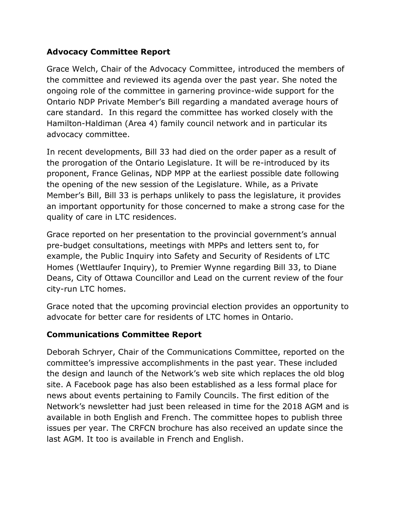### **Advocacy Committee Report**

Grace Welch, Chair of the Advocacy Committee, introduced the members of the committee and reviewed its agenda over the past year. She noted the ongoing role of the committee in garnering province-wide support for the Ontario NDP Private Member's Bill regarding a mandated average hours of care standard. In this regard the committee has worked closely with the Hamilton-Haldiman (Area 4) family council network and in particular its advocacy committee.

In recent developments, Bill 33 had died on the order paper as a result of the prorogation of the Ontario Legislature. It will be re-introduced by its proponent, France Gelinas, NDP MPP at the earliest possible date following the opening of the new session of the Legislature. While, as a Private Member's Bill, Bill 33 is perhaps unlikely to pass the legislature, it provides an important opportunity for those concerned to make a strong case for the quality of care in LTC residences.

Grace reported on her presentation to the provincial government's annual pre-budget consultations, meetings with MPPs and letters sent to, for example, the Public Inquiry into Safety and Security of Residents of LTC Homes (Wettlaufer Inquiry), to Premier Wynne regarding Bill 33, to Diane Deans, City of Ottawa Councillor and Lead on the current review of the four city-run LTC homes.

Grace noted that the upcoming provincial election provides an opportunity to advocate for better care for residents of LTC homes in Ontario.

# **Communications Committee Report**

Deborah Schryer, Chair of the Communications Committee, reported on the committee's impressive accomplishments in the past year. These included the design and launch of the Network's web site which replaces the old blog site. A Facebook page has also been established as a less formal place for news about events pertaining to Family Councils. The first edition of the Network's newsletter had just been released in time for the 2018 AGM and is available in both English and French. The committee hopes to publish three issues per year. The CRFCN brochure has also received an update since the last AGM. It too is available in French and English.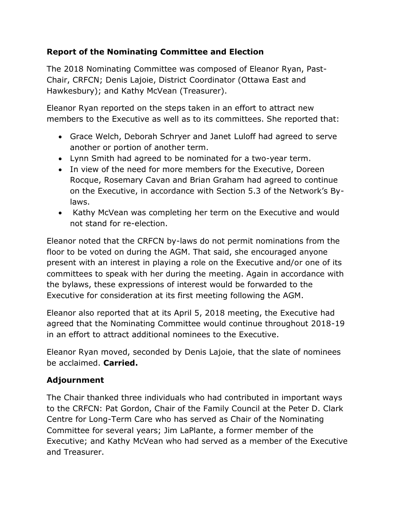# **Report of the Nominating Committee and Election**

The 2018 Nominating Committee was composed of Eleanor Ryan, Past-Chair, CRFCN; Denis Lajoie, District Coordinator (Ottawa East and Hawkesbury); and Kathy McVean (Treasurer).

Eleanor Ryan reported on the steps taken in an effort to attract new members to the Executive as well as to its committees. She reported that:

- Grace Welch, Deborah Schryer and Janet Luloff had agreed to serve another or portion of another term.
- Lynn Smith had agreed to be nominated for a two-year term.
- In view of the need for more members for the Executive, Doreen Rocque, Rosemary Cavan and Brian Graham had agreed to continue on the Executive, in accordance with Section 5.3 of the Network's Bylaws.
- Kathy McVean was completing her term on the Executive and would not stand for re-election.

Eleanor noted that the CRFCN by-laws do not permit nominations from the floor to be voted on during the AGM. That said, she encouraged anyone present with an interest in playing a role on the Executive and/or one of its committees to speak with her during the meeting. Again in accordance with the bylaws, these expressions of interest would be forwarded to the Executive for consideration at its first meeting following the AGM.

Eleanor also reported that at its April 5, 2018 meeting, the Executive had agreed that the Nominating Committee would continue throughout 2018-19 in an effort to attract additional nominees to the Executive.

Eleanor Ryan moved, seconded by Denis Lajoie, that the slate of nominees be acclaimed. **Carried.**

# **Adjournment**

The Chair thanked three individuals who had contributed in important ways to the CRFCN: Pat Gordon, Chair of the Family Council at the Peter D. Clark Centre for Long-Term Care who has served as Chair of the Nominating Committee for several years; Jim LaPlante, a former member of the Executive; and Kathy McVean who had served as a member of the Executive and Treasurer.